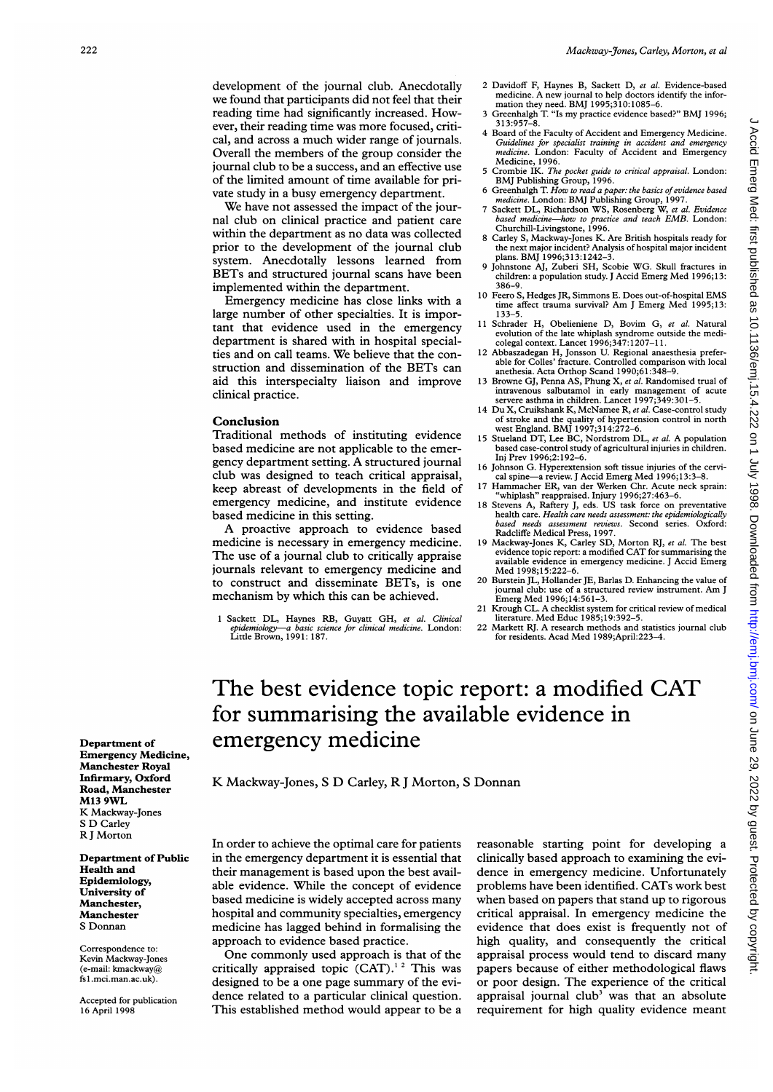development of the journal club. Anecdotally we found that participants did not feel that their reading time had significantly increased. However, their reading time was more focused, critical, and across <sup>a</sup> much wider range of journals. Overall the members of the group consider the journal club to be a success, and an effective use of the limited amount of time available for private study in a busy emergency department.

We have not assessed the impact of the journal club on clinical practice and patient care within the department as no data was collected prior to the development of the journal club system. Anecdotally lessons learned from BETs and structured journal scans have been implemented within the department.

Emergency medicine has close links with a large number of other specialties. It is important that evidence used in the emergency department is shared with in hospital specialties and on call teams. We believe that the construction and dissemination of the BETs can aid this interspecialty liaison and improve clinical practice.

#### Conclusion

Traditional methods of instituting evidence based medicine are not applicable to the emergency department setting. A structured journal club was designed to teach critical appraisal, keep abreast of developments in the field of emergency medicine, and institute evidence based medicine in this setting.

A proactive approach to evidence based medicine is necessary in emergency medicine. The use of a journal club to critically appraise journals relevant to emergency medicine and to construct and disseminate BETs, is one mechanism by which this can be achieved.

- 2. Davidoff F, Haynes B, Sackett D, et al. Evidence-based medicine. A new journal to help doctors identify the infor-
- mation they need. BMJ 1995;310:1085-6. <sup>3</sup> Greenhalgh T. "Is my practice evidence based?" BMJ 1996; 313:957
- 4 Board of the Faculty of Accident and Emergency Medicine. Guidelines for specialist training in accident and emergency medicine. London: Faculty of Accident and Emergency Medicine, 1996.
- Crombie IK. The pocket guide to critical appraisal. London: BMJ Publishing Group, 1996. 6 Greenhalgh T. How to read a paper: the basics of evidence based
- medicine. London: BMJ Publishing Group, 1997.<br>7 Sackett DL, Richardson WS, Rosenberg W, et al. Evidence
- based medicine-how to practice and teach EMB. London: Churchill-Livingstone, 1996. **Carley S, Mackway-Jones K. Are British hospitals ready for**
- the next major incident? Analysis of hospital major incident
- plans. BMJ 1996;313:1242-3. <sup>9</sup> Johnstone AJ, Zuberi SH, Scobie WG. Skull fractures in children: a population study. J Accid Emerg Med 1996;13: 386-9.
- <sup>10</sup> Feero S, Hedges JR, Simmons E. Does out-of-hospital EMS time affect trauma survival? Am <sup>J</sup> Emerg Med 1995;13: 133-5.
- Schrader H, Obelieniene D, Bovim G, et al. Natural evolution of the late whiplash syndrome outside the medicolegal context. Lancet 1996;347:1207-1 1.
- <sup>12</sup> Abbaszadegan H, Jonsson U. Regional anaesthesia prefer-able for Colles' fracture. Controlled comparison with local anethesia. Acta Orthop Scand 1990;61:348-9.
- 13 Browne GJ, Penna AS, Phung X, et al. Randomised trual of intravenous salbutamol in early management of acute servere asthma in children. Lancet 1997;349:301-5.
- <sup>14</sup> Du X, Cruikshank K, McNamee R, et al. Case-control study of stroke and the quality of hypertension control in north<br>west England. BMJ 1997;314:272–6.<br>15 Stueland DT, Lee BC, Nordstrom DL, et al. A population
- based case-control study of agricultural injuries in children. Inj Prev 1996;2:192-6.
- 16 Johnson G. Hyperextension soft tissue injuries of the cervi-cal spine-a review. <sup>J</sup> Accid Emerg Med 1996;13:3-8.
- 17 Hammacher ER, van der Werken Chr. Acute neck sprain:
- "whiplash" reappraised. Injury 1996;27:463-6. <sup>18</sup> Stevens A, Raftery J, eds. US task force on preventative health care. Health care needs assessment: the epidemiologically needs assessment reviews. Second series. Oxford: Radcliffe Medical Press, 1997.
- 19 Mackway-Jones K, Carley SD, Morton RJ, et al. The best evidence topic report: <sup>a</sup> modified CAT for summarising the available evidence in emergency medicine. <sup>J</sup> Accid Emerg Med 1998;15:222-6.
- 20 Burstein JL, Hollander JE, Barlas D. Enhancing the value of journal club: use of <sup>a</sup> structured review instrument. Am <sup>J</sup> Emerg Med 1996; 14:561-3. <sup>21</sup> Krough CL. A checklist system for critical review of medical
- literature. Med Educ 1985; 19:392-5.
- 22 Markett RJ. A research methods and statistics journal club for residents. Acad Med 1989;April:223-4.

# The best evidence topic report: <sup>a</sup> modified CAT for summarising the available evidence in emergency medicine

K Mackway-Jones, <sup>S</sup> D Carley, R <sup>J</sup> Morton, <sup>S</sup> Donnan

In order to achieve the optimal care for patients in the emergency department it is essential that their management is based upon the best available evidence. While the concept of evidence based medicine is widely accepted across many hospital and community specialties, emergency medicine has lagged behind in formalising the approach to evidence based practice.

One commonly used approach is that of the critically appraised topic  $(CAT)^{1/2}$  This was designed to be a one page summary of the evidence related to a particular clinical question. This established method would appear to be a

reasonable starting point for developing a clinically based approach to examining the evidence in emergency medicine. Unfortunately problems have been identified. CATs work best when based on papers that stand up to rigorous critical appraisal. In emergency medicine the evidence that does exist is frequently not of high quality, and consequently the critical appraisal process would tend to discard many papers because of either methodological flaws or poor design. The experience of the critical appraisal journal club<sup>3</sup> was that an absolute requirement for high quality evidence meant

Department of Emergency Medicine, Manchester Royal Infirmary, Oxford Road, Manchester M13 9WL K Mackway-Jones <sup>S</sup> D Carley R <sup>J</sup> Morton

Department of Public Health and Epidemiology, University of Manchester, Manchester S Donnan

Correspondence to: Kevin Mackway-Jones (e-mail: kmackway@ fsl .mci.man.ac.uk).

Accepted for publication 16 April 1998

<sup>1</sup> Sackett DL, Haynes RB, Guyatt GH, et al. Clinical -a basic science for clinical medicine. London: epidemiology-a basic scie<br>Little Brown, 1991: 187.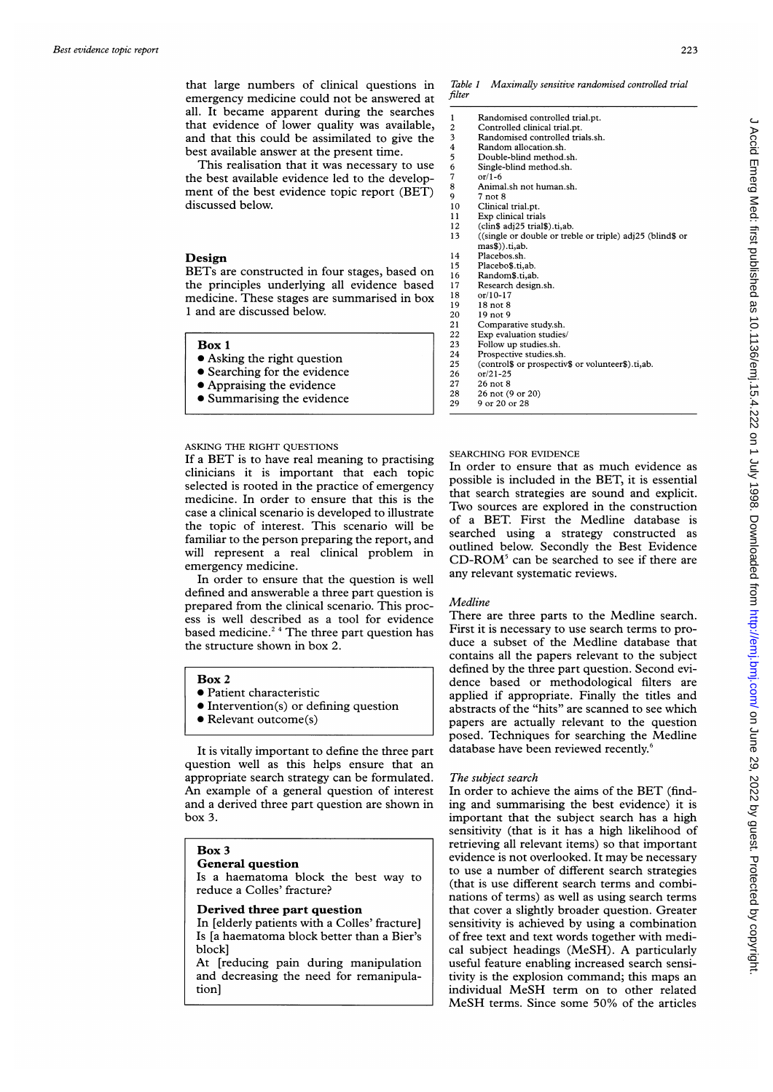that large numbers of clinical questions in emergency medicine could not be answered at all. It became apparent during the searches that evidence of lower quality was available, and that this could be assimilated to give the best available answer at the present time.

This realisation that it was necessary to use the best available evidence led to the development of the best evidence topic report (BET) discussed below.

## Design

BETs are constructed in four stages, based on the principles underlying all evidence based medicine. These stages are summarised in box <sup>1</sup> and are discussed below.

#### Box <sup>1</sup>

- Asking the right question
- Searching for the evidence
- Appraising the evidence
- Summarising the evidence

# ASKING THE RIGHT QUESTIONS

If <sup>a</sup> BET is to have real meaning to practising clinicians it is important that each topic selected is rooted in the practice of emergency medicine. In order to ensure that this is the case a clinical scenario is developed to illustrate the topic of interest. This scenario will be familiar to the person preparing the report, and will represent a real clinical problem in emergency medicine.

In order to ensure that the question is well defined and answerable a three part question is prepared from the clinical scenario. This process is well described as a tool for evidence based medicine.<sup>24</sup> The three part question has the structure shown in box 2.

#### Box <sup>2</sup>

- Patient characteristic
- $\bullet$  Intervention(s) or defining question
- Relevant outcome(s)

It is vitally important to define the three part question well as this helps ensure that an appropriate search strategy can be formulated. An example of <sup>a</sup> general question of interest and a derived three part question are shown in box 3.

# Box <sup>3</sup>

# General question

Is a haematoma block the best way to reduce a Colles' fracture?

#### Derived three part question

In [elderly patients with a Colles' fracture] Is [a haematoma block better than a Bier's block]

At [reducing pain during manipulation and decreasing the need for remanipulation]

Table <sup>1</sup> Maximally sensitive randomised controlled trial filter

- 5 7 8 Randomised controlled trial.pt. Controlled clinical trial.pt. Randomised controlled trials.sh. Random allocation.sh. Double-blind method.sh. Single-blind method.sh.  $or/1 - 6$ 
	- Animal.sh not human.sh.
- 9 10 7 not 8 Clinical trial.pt.
- 11 Exp clinical trials

2 3 4

6

- 12 (clin\$ adj25 trial\$).ti,ab.
- 13 ((single or double or treble or triple) adj25 (blind\$ or  $\overline{mass}$ ).ti,ab.
- 14 Placebos.sh.
- 15 Placebo\$.ti,ab.
- 16 17 Random\$.ti,ab.
- Research design.sh.
- $\overline{18}$ 19 or/10-17
- 20 18 not 8 19 not 9
- 21 Comparative study.sh.
- Exp evaluation studies/
- 22  $23$ Follow up studies.sh.
- $\frac{2}{24}$ Prospective studies.sh.
- 25 (control\$ or prospectiv\$ or volunteer\$).ti,ab.
- or/21-25
- 26 27 26 not 8
- 28 26 not (9 or 20)
- 29 9 or 20 or 28

SEARCHING FOR EVIDENCE

In order to ensure that as much evidence as possible is included in the BET, it is essential that search strategies are sound and explicit. Two sources are explored in the construction of a BET. First the Medline database is searched using a strategy constructed as outlined below. Secondly the Best Evidence  $CD$ -ROM $5$  can be searched to see if there are any relevant systematic reviews.

### Medline

There are three parts to the Medline search. First it is necessary to use search terms to produce a subset of the Medline database that contains all the papers relevant to the subject defined by the three part question. Second evidence based or methodological filters are applied if appropriate. Finally the titles and abstracts of the "hits" are scanned to see which papers are actually relevant to the question posed. Techniques for searching the Medline database have been reviewed recently.<sup>6</sup>

#### The subject search

In order to achieve the aims of the BET (finding and summarising the best evidence) it is important that the subject search has a high sensitivity (that is it has a high likelihood of retrieving all relevant items) so that important evidence is not overlooked. It may be necessary to use <sup>a</sup> number of different search strategies (that is use different search terms and combinations of terms) as well as using search terms that cover a slightly broader question. Greater sensitivity is achieved by using a combination of free text and text words together with medical subject headings (MeSH). A particularly useful feature enabling increased search sensitivity is the explosion command; this maps an individual MeSH term on to other related MeSH terms. Since some 50% of the articles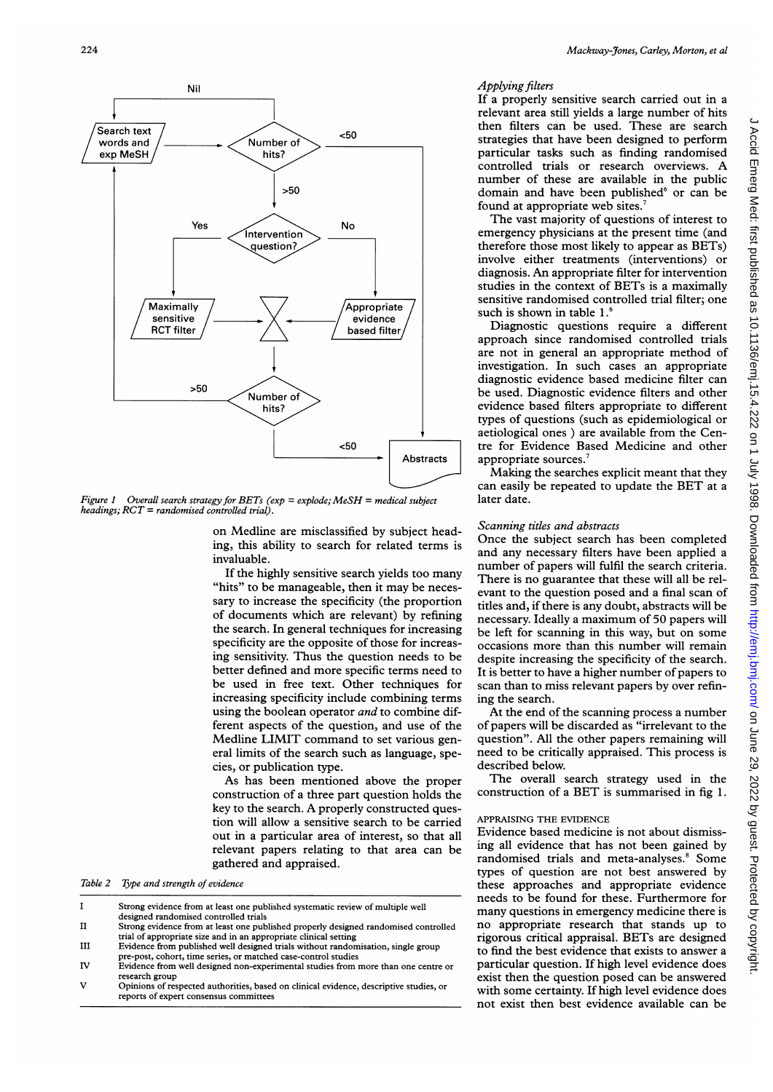

Figure 1 Overall search strategy for BETs ( $exp = exp$  lode; MeSH = medical subject headings;  $RCT$  = randomised controlled trial)

on Medline are misclassified by subject heading, this ability to search for related terms is invaluable.

If the highly sensitive search yields too many "hits" to be manageable, then it may be necessary to increase the specificity (the proportion of documents which are relevant) by refining the search. In general techniques for increasing specificity are the opposite of those for increasing sensitivity. Thus the question needs to be better defined and more specific terms need to be used in free text. Other techniques for increasing specificity include combining terms using the boolean operator and to combine different aspects of the question, and use of the Medline LIMIT command to set various general limits of the search such as language, species, or publication type.

As has been mentioned above the proper construction of a three part question holds the key to the search. A properly constructed question will allow a sensitive search to be carried out in a particular area of interest, so that all relevant papers relating to that area can be gathered and appraised.

Table 2 Type and strength of evidence

|                                       |  | Strong evidence from at least one published systematic review of multiple well |  |
|---------------------------------------|--|--------------------------------------------------------------------------------|--|
| designed randomised controlled trials |  |                                                                                |  |

Strong evidence from at least one published properly designed randomised controlled trial of appropriate size and in an appropriate clinical setting II

- Evidence from published well designed trials without randomisation, single group pre-post, cohort, time series, or matched case-control studies III
- Evidence from well designed non-experimental studies from more than one centre or research group IV
- Opinions of respected authorities, based on clinical evidence, descriptive studies, or reports of expert consensus committees V

# Applying filters

If a properly sensitive search carried out in a relevant area still yields a large number of hits then filters can be used. These are search strategies that have been designed to perform particular tasks such as finding randomised controlled trials or research overviews. A number of these are available in the public domain and have been published<sup>6</sup> or can be found at appropriate web sites.<sup>7</sup>

The vast majority of questions of interest to emergency physicians at the present time (and therefore those most likely to appear as BETs) involve either treatments (interventions) or diagnosis. An appropriate filter for intervention studies in the context of BETs is <sup>a</sup> maximally sensitive randomised controlled trial filter; one such is shown in table 1.

Diagnostic questions require a different approach since randomised controlled trials are not in general an appropriate method of investigation. In such cases an appropriate diagnostic evidence based medicine filter can be used. Diagnostic evidence filters and other evidence based filters appropriate to different types of questions (such as epidemiological or aetiological ones ) are available from the Centre for Evidence Based Medicine and other appropriate sources.<sup>7</sup>

Making the searches explicit meant that they can easily be repeated to update the BET at <sup>a</sup> later date.

# Scanning titles and abstracts

Once the subject search has been completed and any necessary filters have been applied a number of papers will fulfil the search criteria. There is no guarantee that these will all be relevant to the question posed and a final scan of titles and, if there is any doubt, abstracts will be necessary. Ideally <sup>a</sup> maximum of 50 papers will be left for scanning in this way, but on some occasions more than this number will remain despite increasing the specificity of the search. It is better to have a higher number of papers to scan than to miss relevant papers by over refining the search.

At the end of the scanning process a number of papers will be discarded as "irrelevant to the question". All the other papers remaining will need to be critically appraised. This process is described below.

The overall search strategy used in the construction of <sup>a</sup> BET is summarised in fig 1.

### APPRAISING THE EVIDENCE

Evidence based medicine is not about dismissing all evidence that has not been gained by randomised trials and meta-analyses.' Some types of question are not best answered by these approaches and appropriate evidence needs to be found for these. Furthermore for many questions in emergency medicine there is no appropriate research that stands up to rigorous critical appraisal. BETs are designed to find the best evidence that exists to answer <sup>a</sup> particular question. If high level evidence does exist then the question posed can be answered with some certainty. If high level evidence does not exist then best evidence available can be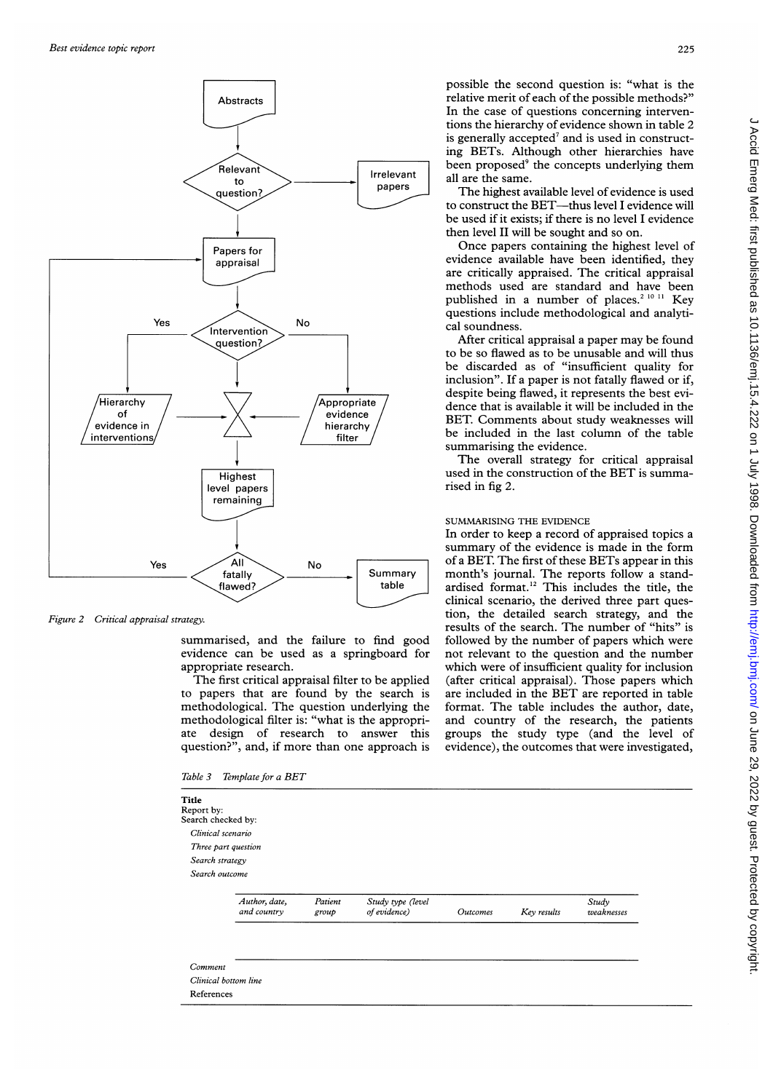

Figure 2 Critical appraisal strategy.

summarised, and the failure to find good evidence can be used as a springboard for appropriate research.

The first critical appraisal filter to be applied to papers that are found by the search is methodological. The question underlying the methodological filter is: "what is the appropriate design of research to answer this question?", and, if more than one approach is

Table 3 Template for <sup>a</sup> BET

| <b>Title</b><br>Report by:<br>Search checked by: |                              |                  |                                   |          |             |                     |
|--------------------------------------------------|------------------------------|------------------|-----------------------------------|----------|-------------|---------------------|
| Clinical scenario                                |                              |                  |                                   |          |             |                     |
| Three part question                              |                              |                  |                                   |          |             |                     |
| Search strategy                                  |                              |                  |                                   |          |             |                     |
| Search outcome                                   |                              |                  |                                   |          |             |                     |
|                                                  | Author, date,<br>and country | Patient<br>group | Study type (level<br>of evidence) | Outcomes | Key results | Study<br>weaknesses |
|                                                  |                              |                  |                                   |          |             |                     |
| Comment                                          |                              |                  |                                   |          |             |                     |
| Clinical bottom line                             |                              |                  |                                   |          |             |                     |
| References                                       |                              |                  |                                   |          |             |                     |

possible the second question is: "what is the relative merit of each of the possible methods?" In the case of questions concerning interventions the hierarchy of evidence shown in table 2 is generally accepted<sup>7</sup> and is used in constructing BETs. Although other hierarchies have been proposed<sup>9</sup> the concepts underlying them all are the same.

The highest available level of evidence is used to construct the BET-thus level I evidence will be used if it exists; if there is no level <sup>I</sup> evidence then level II will be sought and so on.

Once papers containing the highest level of evidence available have been identified, they are critically appraised. The critical appraisal methods used are standard and have been published in a number of places.<sup>2 10 11</sup> Key questions include methodological and analytical soundness.

After critical appraisal <sup>a</sup> paper may be found to be so flawed as to be unusable and will thus be discarded as of "insufficient quality for inclusion". If a paper is not fatally flawed or if, despite being flawed, it represents the best evidence that is available it will be included in the BET. Comments about study weaknesses will be included in the last column of the table summarising the evidence.

The overall strategy for critical appraisal used in the construction of the BET is summarised in fig 2.

# SUMMARISING THE EVIDENCE

In order to keep a record of appraised topics a summary of the evidence is made in the form of <sup>a</sup> BET. The first of these BETs appear in this month's journal. The reports follow a standardised format.'2 This includes the title, the clinical scenario, the derived three part question, the detailed search strategy, and the results of the search. The number of "hits" is followed by the number of papers which were not relevant to the question and the number which were of insufficient quality for inclusion (after critical appraisal). Those papers which are included in the BET are reported in table format. The table includes the author, date, and country of the research, the patients groups the study type (and the level of evidence), the outcomes that were investigated,